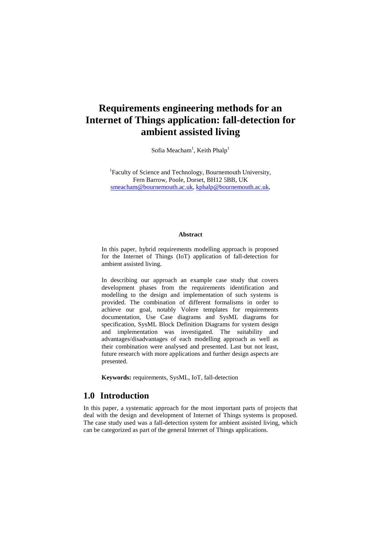# **Requirements engineering methods for an Internet of Things application: fall-detection for ambient assisted living**

Sofia Meacham<sup>1</sup>, Keith Phalp<sup>1</sup>

<sup>1</sup>Faculty of Science and Technology, Bournemouth University, Fern Barrow, Poole, Dorset, BH12 5BB, UK [smeacham@bournemouth.ac.uk,](mailto:smeacham@bournemouth.ac.uk) [kphalp@bournemouth.ac.uk,](mailto:kphalp@bournemouth.ac.uk)

#### **Abstract**

In this paper, hybrid requirements modelling approach is proposed for the Internet of Things (IoT) application of fall-detection for ambient assisted living.

In describing our approach an example case study that covers development phases from the requirements identification and modelling to the design and implementation of such systems is provided. The combination of different formalisms in order to achieve our goal, notably Volere templates for requirements documentation, Use Case diagrams and SysML diagrams for specification, SysML Block Definition Diagrams for system design and implementation was investigated. The suitability and advantages/disadvantages of each modelling approach as well as their combination were analysed and presented. Last but not least, future research with more applications and further design aspects are presented.

**Keywords:** requirements, SysML, IoT, fall-detection

# **1.0 Introduction**

In this paper, a systematic approach for the most important parts of projects that deal with the design and development of Internet of Things systems is proposed. The case study used was a fall-detection system for ambient assisted living, which can be categorized as part of the general Internet of Things applications.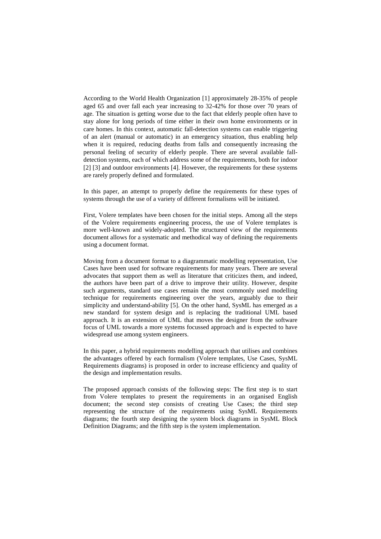According to the World Health Organization [1] approximately 28-35% of people aged 65 and over fall each year increasing to 32-42% for those over 70 years of age. The situation is getting worse due to the fact that elderly people often have to stay alone for long periods of time either in their own home environments or in care homes. In this context, automatic fall-detection systems can enable triggering of an alert (manual or automatic) in an emergency situation, thus enabling help when it is required, reducing deaths from falls and consequently increasing the personal feeling of security of elderly people. There are several available falldetection systems, each of which address some of the requirements, both for indoor [2] [3] and outdoor environments [4]. However, the requirements for these systems are rarely properly defined and formulated.

In this paper, an attempt to properly define the requirements for these types of systems through the use of a variety of different formalisms will be initiated.

First, Volere templates have been chosen for the initial steps. Among all the steps of the Volere requirements engineering process, the use of Volere templates is more well-known and widely-adopted. The structured view of the requirements document allows for a systematic and methodical way of defining the requirements using a document format.

Moving from a document format to a diagrammatic modelling representation, Use Cases have been used for software requirements for many years. There are several advocates that support them as well as literature that criticizes them, and indeed, the authors have been part of a drive to improve their utility. However, despite such arguments, standard use cases remain the most commonly used modelling technique for requirements engineering over the years, arguably due to their simplicity and understand-ability [5]. On the other hand, SysML has emerged as a new standard for system design and is replacing the traditional UML based approach. It is an extension of UML that moves the designer from the software focus of UML towards a more systems focussed approach and is expected to have widespread use among system engineers.

In this paper, a hybrid requirements modelling approach that utilises and combines the advantages offered by each formalism (Volere templates, Use Cases, SysML Requirements diagrams) is proposed in order to increase efficiency and quality of the design and implementation results.

The proposed approach consists of the following steps: The first step is to start from Volere templates to present the requirements in an organised English document; the second step consists of creating Use Cases; the third step representing the structure of the requirements using SysML Requirements diagrams; the fourth step designing the system block diagrams in SysML Block Definition Diagrams; and the fifth step is the system implementation.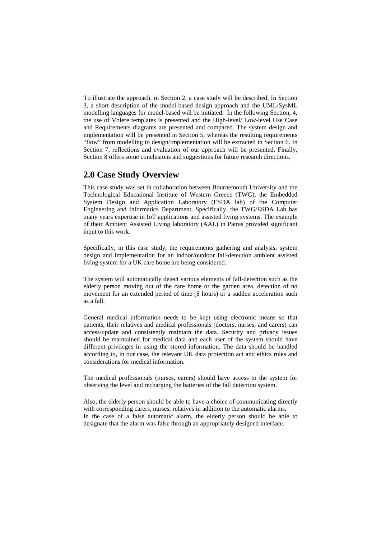To illustrate the approach, in Section 2, a case study will be described. In Section 3, a short description of the model-based design approach and the UML/SysML modelling languages for model-based will be initiated. In the following Section, 4, the use of Volere templates is presented and the High-level/ Low-level Use Case and Requirements diagrams are presented and compared. The system design and implementation will be presented in Section 5, whereas the resulting requirements "flow" from modelling to design/implementation will be extracted in Section 6. In Section 7, reflections and evaluation of our approach will be presented. Finally, Section 8 offers some conclusions and suggestions for future research directions.

## **2.0 Case Study Overview**

This case study was set in collaboration between Bournemouth University and the Technological Educational Institute of Western Greece (TWG), the Embedded System Design and Application Laboratory (ESDA lab) of the Computer Engineering and Informatics Department. Specifically, the TWG/ESDA Lab has many years expertise in IoT applications and assisted living systems. The example of their Ambient Assisted Living laboratory (AAL) in Patras provided significant input to this work.

Specifically, in this case study, the requirements gathering and analysis, system design and implementation for an indoor/outdoor fall-detection ambient assisted living system for a UK care home are being considered.

The system will automatically detect various elements of fall-detection such as the elderly person moving out of the care home or the garden area, detection of no movement for an extended period of time (8 hours) or a sudden acceleration such as a fall.

General medical information needs to be kept using electronic means so that patients, their relatives and medical professionals (doctors, nurses, and carers) can access/update and consistently maintain the data. Security and privacy issues should be maintained for medical data and each user of the system should have different privileges in using the stored information. The data should be handled according to, in our case, the relevant UK data protection act and ethics rules and considerations for medical information.

The medical professionals (nurses, carers) should have access to the system for observing the level and recharging the batteries of the fall detection system.

Also, the elderly person should be able to have a choice of communicating directly with corresponding carers, nurses, relatives in addition to the automatic alarms. In the case of a false automatic alarm, the elderly person should be able to designate that the alarm was false through an appropriately designed interface.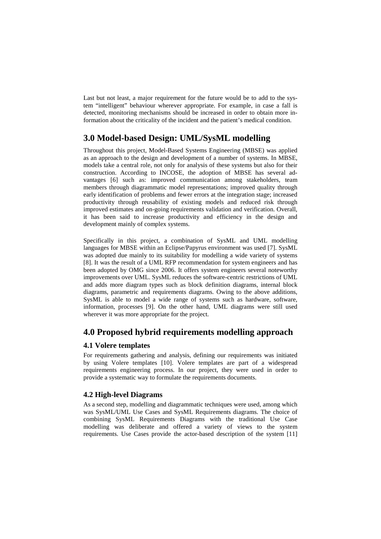Last but not least, a major requirement for the future would be to add to the system "intelligent" behaviour wherever appropriate. For example, in case a fall is detected, monitoring mechanisms should be increased in order to obtain more information about the criticality of the incident and the patient's medical condition.

# **3.0 Model-based Design: UML/SysML modelling**

Throughout this project, Model-Based Systems Engineering (MBSE) was applied as an approach to the design and development of a number of systems. In MBSE, models take a central role, not only for analysis of these systems but also for their construction. According to INCOSE, the adoption of MBSE has several advantages [6] such as: improved communication among stakeholders, team members through diagrammatic model representations; improved quality through early identification of problems and fewer errors at the integration stage; increased productivity through reusability of existing models and reduced risk through improved estimates and on-going requirements validation and verification. Overall, it has been said to increase productivity and efficiency in the design and development mainly of complex systems.

Specifically in this project, a combination of SysML and UML modelling languages for MBSE within an Eclipse/Papyrus environment was used [7]. SysML was adopted due mainly to its suitability for modelling a wide variety of systems [8]. It was the result of a UML RFP recommendation for system engineers and has been adopted by OMG since 2006. It offers system engineers several noteworthy improvements over UML. SysML reduces the software-centric restrictions of UML and adds more diagram types such as block definition diagrams, internal block diagrams, parametric and requirements diagrams. Owing to the above additions, SysML is able to model a wide range of systems such as hardware, software, information, processes [9]. On the other hand, UML diagrams were still used wherever it was more appropriate for the project.

# **4.0 Proposed hybrid requirements modelling approach**

## **4.1 Volere templates**

For requirements gathering and analysis, defining our requirements was initiated by using Volere templates [10]. Volere templates are part of a widespread requirements engineering process. In our project, they were used in order to provide a systematic way to formulate the requirements documents.

## **4.2 High-level Diagrams**

As a second step, modelling and diagrammatic techniques were used, among which was SysML/UML Use Cases and SysML Requirements diagrams. The choice of combining SysML Requirements Diagrams with the traditional Use Case modelling was deliberate and offered a variety of views to the system requirements. Use Cases provide the actor-based description of the system [11]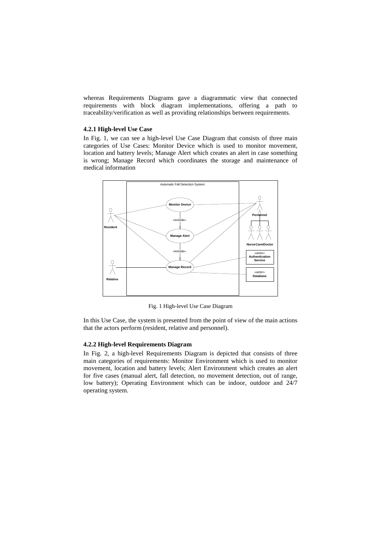whereas Requirements Diagrams gave a diagrammatic view that connected requirements with block diagram implementations, offering a path to traceability/verification as well as providing relationships between requirements.

#### **4.2.1 High-level Use Case**

In Fig. 1, we can see a high-level Use Case Diagram that consists of three main categories of Use Cases: Monitor Device which is used to monitor movement, location and battery levels; Manage Alert which creates an alert in case something is wrong; Manage Record which coordinates the storage and maintenance of medical information



Fig. 1 High-level Use Case Diagram

In this Use Case, the system is presented from the point of view of the main actions that the actors perform (resident, relative and personnel).

#### **4.2.2 High-level Requirements Diagram**

In Fig. 2, a high-level Requirements Diagram is depicted that consists of three main categories of requirements: Monitor Environment which is used to monitor movement, location and battery levels; Alert Environment which creates an alert for five cases (manual alert, fall detection, no movement detection, out of range, low battery); Operating Environment which can be indoor, outdoor and 24/7 operating system.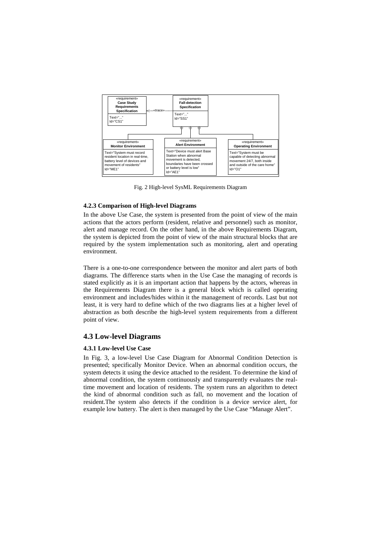

Fig. 2 High-level SysML Requirements Diagram

#### **4.2.3 Comparison of High-level Diagrams**

In the above Use Case, the system is presented from the point of view of the main actions that the actors perform (resident, relative and personnel) such as monitor, alert and manage record. On the other hand, in the above Requirements Diagram, the system is depicted from the point of view of the main structural blocks that are required by the system implementation such as monitoring, alert and operating environment.

There is a one-to-one correspondence between the monitor and alert parts of both diagrams. The difference starts when in the Use Case the managing of records is stated explicitly as it is an important action that happens by the actors, whereas in the Requirements Diagram there is a general block which is called operating environment and includes/hides within it the management of records. Last but not least, it is very hard to define which of the two diagrams lies at a higher level of abstraction as both describe the high-level system requirements from a different point of view.

#### **4.3 Low-level Diagrams**

#### **4.3.1 Low-level Use Case**

In Fig. 3, a low-level Use Case Diagram for Abnormal Condition Detection is presented; specifically Monitor Device. When an abnormal condition occurs, the system detects it using the device attached to the resident. To determine the kind of abnormal condition, the system continuously and transparently evaluates the realtime movement and location of residents. The system runs an algorithm to detect the kind of abnormal condition such as fall, no movement and the location of resident.The system also detects if the condition is a device service alert, for example low battery. The alert is then managed by the Use Case "Manage Alert".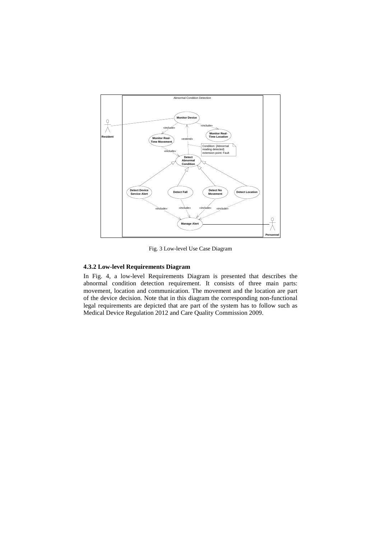

Fig. 3 Low-level Use Case Diagram

#### **4.3.2 Low-level Requirements Diagram**

In Fig. 4, a low-level Requirements Diagram is presented that describes the abnormal condition detection requirement. It consists of three main parts: movement, location and communication. The movement and the location are part of the device decision. Note that in this diagram the corresponding non-functional legal requirements are depicted that are part of the system has to follow such as Medical Device Regulation 2012 and Care Quality Commission 2009.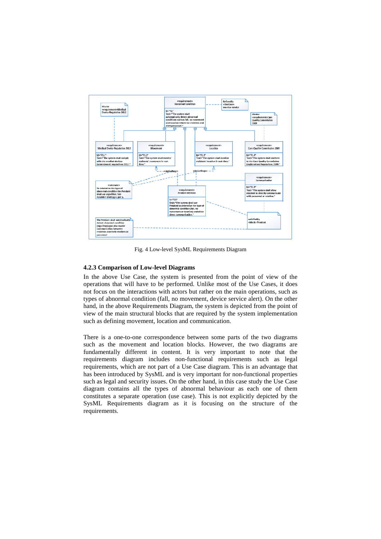

Fig. 4 Low-level SysML Requirements Diagram

#### **4.2.3 Comparison of Low-level Diagrams**

In the above Use Case, the system is presented from the point of view of the operations that will have to be performed. Unlike most of the Use Cases, it does not focus on the interactions with actors but rather on the main operations, such as types of abnormal condition (fall, no movement, device service alert). On the other hand, in the above Requirements Diagram, the system is depicted from the point of view of the main structural blocks that are required by the system implementation such as defining movement, location and communication.

There is a one-to-one correspondence between some parts of the two diagrams such as the movement and location blocks. However, the two diagrams are fundamentally different in content. It is very important to note that the requirements diagram includes non-functional requirements such as legal requirements, which are not part of a Use Case diagram. This is an advantage that has been introduced by SysML and is very important for non-functional properties such as legal and security issues. On the other hand, in this case study the Use Case diagram contains all the types of abnormal behaviour as each one of them constitutes a separate operation (use case). This is not explicitly depicted by the SysML Requirements diagram as it is focusing on the structure of the requirements.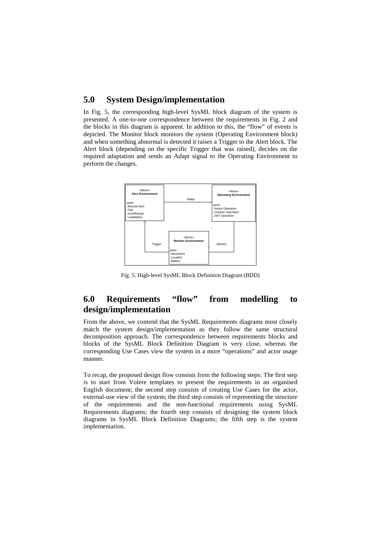# **5.0 System Design/implementation**

In Fig. 5, the corresponding high-level SysML block diagram of the system is presented. A one-to-one correspondence between the requirements in Fig. 2 and the blocks in this diagram is apparent. In addition to this, the "flow" of events is depicted. The Monitor block monitors the system (Operating Environment block) and when something abnormal is detected it raises a Trigger to the Alert block. The Alert block (depending on the specific Trigger that was raised), decides on the required adaptation and sends an Adapt signal to the Operating Environment to perform the changes.



Fig. 5. High-level SysML Block Definition Diagram (BDD)

# **6.0 Requirements "flow" from modelling to design/implementation**

From the above, we contend that the SysML Requirements diagrams most closely match the system design/implementation as they follow the same structural decomposition approach. The correspondence between requirements blocks and blocks of the SysML Block Definition Diagram is very close, whereas the corresponding Use Cases view the system in a more "operations" and actor usage manner.

To recap, the proposed design flow consists from the following steps: The first step is to start from Volere templates to present the requirements in an organised English document; the second step consists of creating Use Cases for the actor, external-use view of the system; the third step consists of representing the structure of the requirements and the non-functional requirements using SysML Requirements diagrams; the fourth step consists of designing the system block diagrams in SysML Block Definition Diagrams; the fifth step is the system implementation.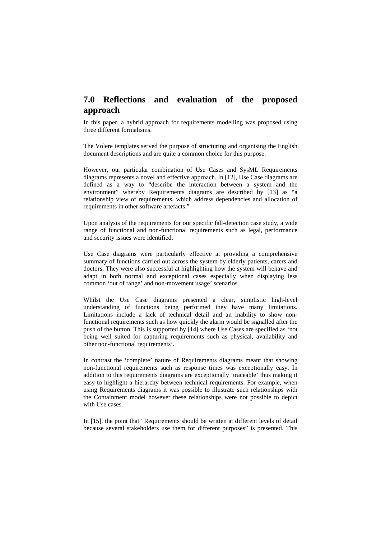# **7.0 Reflections and evaluation of the proposed approach**

In this paper, a hybrid approach for requirements modelling was proposed using three different formalisms.

The Volere templates served the purpose of structuring and organising the English document descriptions and are quite a common choice for this purpose.

However, our particular combination of Use Cases and SysML Requirements diagrams represents a novel and effective approach. In [12], Use Case diagrams are defined as a way to "describe the interaction between a system and the environment" whereby Requirements diagrams are described by [13] as "a relationship view of requirements, which address dependencies and allocation of requirements in other software artefacts."

Upon analysis of the requirements for our specific fall-detection case study, a wide range of functional and non-functional requirements such as legal, performance and security issues were identified.

Use Case diagrams were particularly effective at providing a comprehensive summary of functions carried out across the system by elderly patients, carers and doctors. They were also successful at highlighting how the system will behave and adapt in both normal and exceptional cases especially when displaying less common 'out of range' and non-movement usage' scenarios.

Whilst the Use Case diagrams presented a clear, simplistic high-level understanding of functions being performed they have many limitations. Limitations include a lack of technical detail and an inability to show nonfunctional requirements such as how quickly the alarm would be signalled after the push of the button. This is supported by [14] where Use Cases are specified as 'not being well suited for capturing requirements such as physical, availability and other non-functional requirements'.

In contrast the 'complete' nature of Requirements diagrams meant that showing non-functional requirements such as response times was exceptionally easy. In addition to this requirements diagrams are exceptionally 'traceable' thus making it easy to highlight a hierarchy between technical requirements. For example, when using Requirements diagrams it was possible to illustrate such relationships with the Containment model however these relationships were not possible to depict with Use cases.

In [15], the point that "Requirements should be written at different levels of detail because several stakeholders use them for different purposes" is presented. This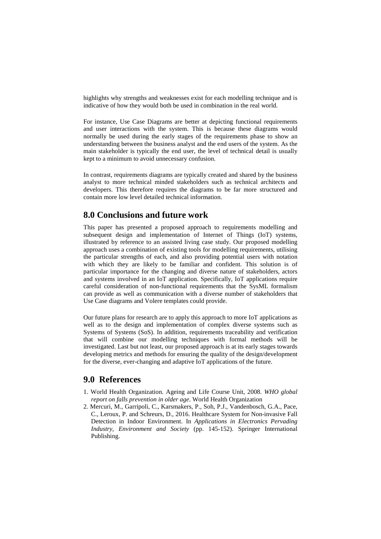highlights why strengths and weaknesses exist for each modelling technique and is indicative of how they would both be used in combination in the real world.

For instance, Use Case Diagrams are better at depicting functional requirements and user interactions with the system. This is because these diagrams would normally be used during the early stages of the requirements phase to show an understanding between the business analyst and the end users of the system. As the main stakeholder is typically the end user, the level of technical detail is usually kept to a minimum to avoid unnecessary confusion.

In contrast, requirements diagrams are typically created and shared by the business analyst to more technical minded stakeholders such as technical architects and developers. This therefore requires the diagrams to be far more structured and contain more low level detailed technical information.

## **8.0 Conclusions and future work**

This paper has presented a proposed approach to requirements modelling and subsequent design and implementation of Internet of Things (IoT) systems, illustrated by reference to an assisted living case study. Our proposed modelling approach uses a combination of existing tools for modelling requirements, utilising the particular strengths of each, and also providing potential users with notation with which they are likely to be familiar and confident. This solution is of particular importance for the changing and diverse nature of stakeholders, actors and systems involved in an IoT application. Specifically, IoT applications require careful consideration of non-functional requirements that the SysML formalism can provide as well as communication with a diverse number of stakeholders that Use Case diagrams and Volere templates could provide.

Our future plans for research are to apply this approach to more IoT applications as well as to the design and implementation of complex diverse systems such as Systems of Systems (SoS). In addition, requirements traceability and verification that will combine our modelling techniques with formal methods will be investigated. Last but not least, our proposed approach is at its early stages towards developing metrics and methods for ensuring the quality of the design/development for the diverse, ever-changing and adaptive IoT applications of the future.

## **9.0 References**

- 1. World Health Organization. Ageing and Life Course Unit, 2008. *WHO global report on falls prevention in older age*. World Health Organization
- 2. Mercuri, M., Garripoli, C., Karsmakers, P., Soh, P.J., Vandenbosch, G.A., Pace, C., Leroux, P. and Schreurs, D., 2016. Healthcare System for Non-invasive Fall Detection in Indoor Environment. In *Applications in Electronics Pervading Industry, Environment and Society* (pp. 145-152). Springer International Publishing.